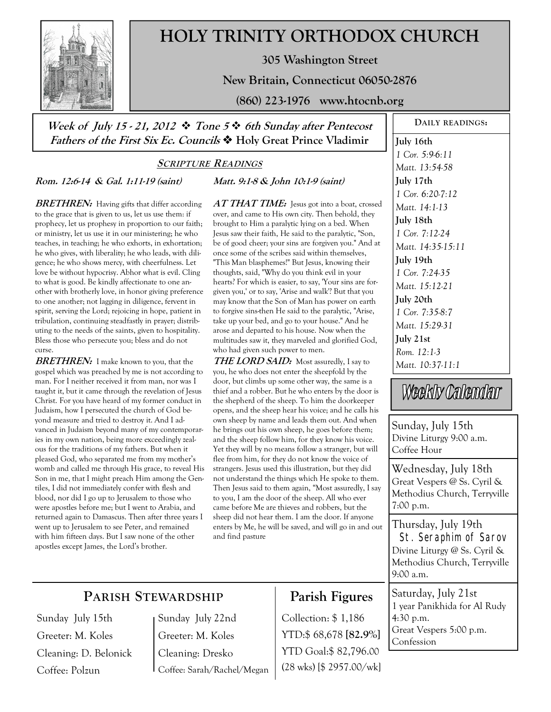

# **HOLY TRINITY ORTHODOX CHURCH**

**305 Washington Street** 

**New Britain, Connecticut 06050-2876** 

**(860) 223-1976 www.htocnb.org** 

## **Week of July 15 - 21, 2012 Tone 5 6th Sunday after Pentecost Fathers of the First Six Ec. Councils Holy Great Prince Vladimir**

## **SCRIPTURE READINGS**

**Rom. 12:6-14 & Gal. 1:11-19 (saint)** 

## **Matt. 9:1-8 & John 10:1-9 (saint)**

**BRETHREN:** Having gifts that differ according to the grace that is given to us, let us use them: if prophecy, let us prophesy in proportion to our faith; or ministry, let us use it in our ministering; he who teaches, in teaching; he who exhorts, in exhortation; he who gives, with liberality; he who leads, with diligence; he who shows mercy, with cheerfulness. Let love be without hypocrisy. Abhor what is evil. Cling to what is good. Be kindly affectionate to one another with brotherly love, in honor giving preference to one another; not lagging in diligence, fervent in spirit, serving the Lord; rejoicing in hope, patient in tribulation, continuing steadfastly in prayer; distributing to the needs of the saints, given to hospitality. Bless those who persecute you; bless and do not curse.

**BRETHREN:** I make known to you, that the gospel which was preached by me is not according to man. For I neither received it from man, nor was I taught it, but it came through the revelation of Jesus Christ. For you have heard of my former conduct in Judaism, how I persecuted the church of God beyond measure and tried to destroy it. And I advanced in Judaism beyond many of my contemporaries in my own nation, being more exceedingly zealous for the traditions of my fathers. But when it pleased God, who separated me from my mother's womb and called me through His grace, to reveal His Son in me, that I might preach Him among the Gentiles, I did not immediately confer with flesh and blood, nor did I go up to Jerusalem to those who were apostles before me; but I went to Arabia, and returned again to Damascus. Then after three years I went up to Jerusalem to see Peter, and remained with him fifteen days. But I saw none of the other apostles except James, the Lord's brother.

AT THAT TIME: Jesus got into a boat, crossed over, and came to His own city. Then behold, they brought to Him a paralytic lying on a bed. When Jesus saw their faith, He said to the paralytic, "Son, be of good cheer; your sins are forgiven you." And at once some of the scribes said within themselves, "This Man blasphemes!" But Jesus, knowing their thoughts, said, "Why do you think evil in your hearts? For which is easier, to say, 'Your sins are forgiven you,' or to say, 'Arise and walk'? But that you may know that the Son of Man has power on earth to forgive sins-then He said to the paralytic, "Arise, take up your bed, and go to your house." And he arose and departed to his house. Now when the multitudes saw it, they marveled and glorified God, who had given such power to men.

**THE LORD SAID:** Most assuredly, I say to you, he who does not enter the sheepfold by the door, but climbs up some other way, the same is a thief and a robber. But he who enters by the door is the shepherd of the sheep. To him the doorkeeper opens, and the sheep hear his voice; and he calls his own sheep by name and leads them out. And when he brings out his own sheep, he goes before them; and the sheep follow him, for they know his voice. Yet they will by no means follow a stranger, but will flee from him, for they do not know the voice of strangers. Jesus used this illustration, but they did not understand the things which He spoke to them. Then Jesus said to them again, "Most assuredly, I say to you, I am the door of the sheep. All who ever came before Me are thieves and robbers, but the sheep did not hear them. I am the door. If anyone enters by Me, he will be saved, and will go in and out and find pasture

**DAILY READINGS: July 16th**  *1 Cor. 5:9-6:11 Matt. 13:54-58*  **July 17th**  *1 Cor. 6:20-7:12 Matt. 14:1-13*  **July 18th**  *1 Cor. 7:12-24 Matt. 14:35-15:11*  **July 19th**  *1 Cor. 7:24-35 Matt. 15:12-21*  **July 20th**  *1 Cor. 7:35-8:7 Matt. 15:29-31*  **July 21st**  *Rom. 12:1-3 Matt. 10:37-11:1* 

Weekly Calendar

Sunday, July 15th Divine Liturgy 9:00 a.m. Coffee Hour

Wednesday, July 18th Great Vespers @ Ss. Cyril & Methodius Church, Terryville 7:00 p.m.

Thursday, July 19th St. Seraphim of Sarov Divine Liturgy @ Ss. Cyril & Methodius Church, Terryville 9:00 a.m.

Saturday, July 21st 1 year Panikhida for Al Rudy 4:30 p.m. Great Vespers 5:00 p.m. Confession

## **PARISH STEWARDSHIP**

Sunday July 15th Greeter: M. Koles Cleaning: D. Belonick Coffee: Polzun

Sunday July 22nd Greeter: M. Koles Cleaning: Dresko Coffee: Sarah/Rachel/Megan

## **Parish Figures**

Collection: \$ 1,186 YTD:\$ 68,678 **[82.9%]** YTD Goal:\$ 82,796.00 (28 wks) [\$ 2957.00/wk]